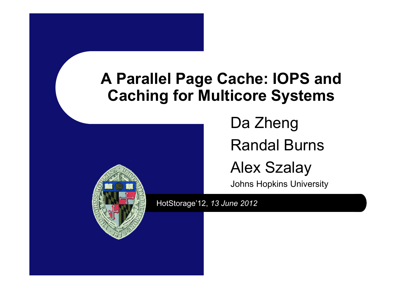#### **A Parallel Page Cache: IOPS and Caching for Multicore Systems**



Da ZhengRandal Burns

Alex Szalay

Johns Hopkins University

HotStorage'12, *13 June 2012*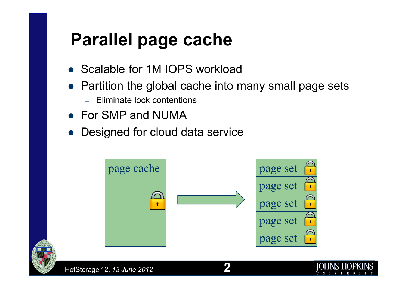### **Parallel page cache**

- Scalable for 1M IOPS workload
- Partition the global cache into many small page sets
	- –- Eliminate lock contentions
- For SMP and NUMA
- $\bullet$ Designed for cloud data service



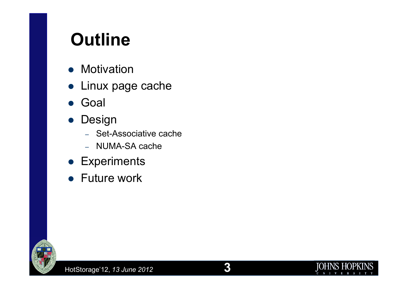### **Outline**

- Motivation
- Linux page cache
- Goal
- $\bullet$  Design
	- –– Set-Associative cache
	- –– NUMA-SA cache
- **•** Experiments
- Future work



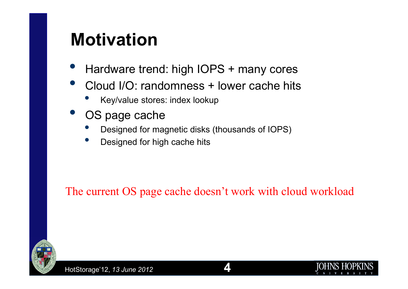#### **Motivation**

- $\bullet$ Hardware trend: high IOPS + many cores
- $\bullet$  Cloud I/O: randomness + lower cache hits
	- •Key/value stores: index lookup
- $\bullet$  OS page cache
	- •Designed for magnetic disks (thousands of IOPS)
	- •Designed for high cache hits

The current OS page cache doesn't work with cloud workload



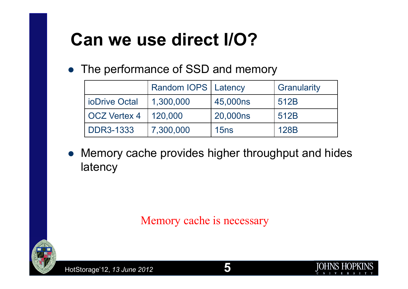# **Can we use direct I/O?**

• The performance of SSD and memory

|                      | Random IOPS   Latency |          | Granularity |
|----------------------|-----------------------|----------|-------------|
| <b>ioDrive Octal</b> | 1,300,000             | 45,000ns | 512B        |
| <b>OCZ Vertex 4</b>  | 120,000               | 20,000ns | 512B        |
| <b>DDR3-1333</b>     | 7,300,000             | 15ns     | 128B        |

 $\bullet$  Memory cache provides higher throughput and hides latency

Memory cache is necessary

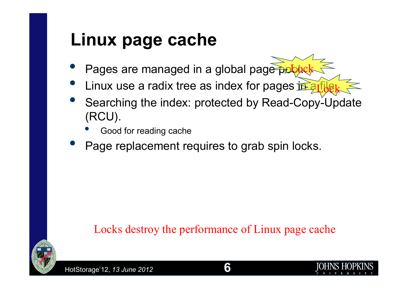#### **Linux page cache**

- $\bullet$ • Pages are managed in a global page pobock
- $\bullet$ Linux use a radix tree as index for pages in a Lock
- $\bullet$ • Searching the index: protected by Read-Copy-Update (RCU).
	- •Good for reading cache
- $\bullet$ Page replacement requires to grab spin locks.

#### Locks destroy the performance of Linux page cache



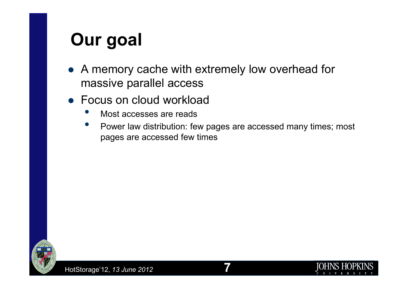# **Our goal**

- A memory cache with extremely low overhead for massive parallel access
- Focus on cloud workload
	- •Most accesses are reads
	- • Power law distribution: few pages are accessed many times; most pages are accessed few times

**7**

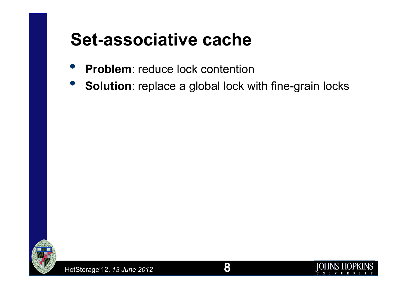#### **Set-associative cache**

- $\bullet$ **Problem**: reduce lock contention
- $\bullet$ **Solution**: replace a global lock with fine-grain locks



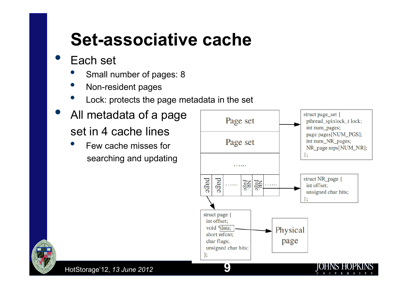#### **Set-associative cache**

#### $\bullet$ Each set

- •Small number of pages: 8
- •Non-resident pages
- •Lock: protects the page metadata in the set
- $\bullet$  All metadata of a page set in 4 cache lines
	- • Few cache misses for searching and updating



**9**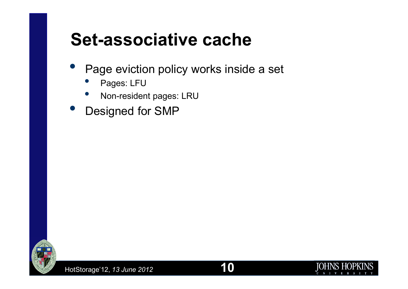#### **Set-associative cache**

- $\bullet$  Page eviction policy works inside a set
	- •Pages: LFU
	- Non-resident pages: LRU •
- $\bullet$ Designed for SMP



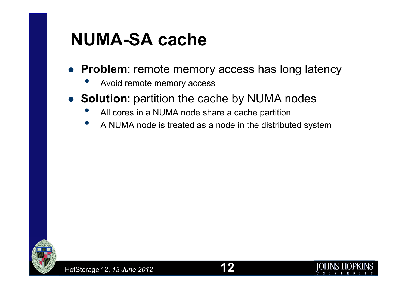#### **NUMA-SA cache**

- **Problem**: remote memory access has long latency
	- •Avoid remote memory access
- $\bullet$  **Solution**: partition the cache by NUMA nodes
	- •All cores in a NUMA node share a cache partition
	- •A NUMA node is treated as a node in the distributed system



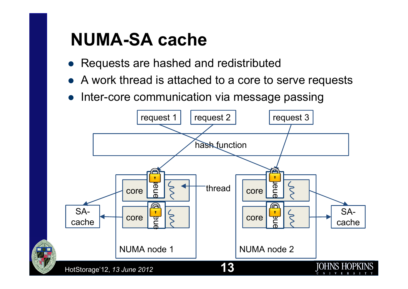#### **NUMA-SA cache**

- Requests are hashed and redistributed
- $\bullet$ A work thread is attached to a core to serve requests
- $\bullet$ Inter-core communication via message passing

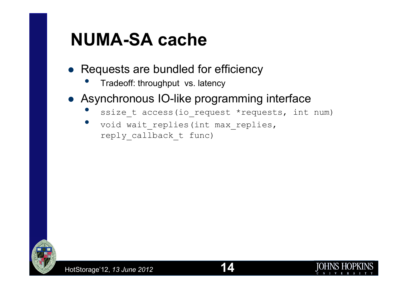#### **NUMA-SA cache**

- Requests are bundled for efficiency
	- •Tradeoff: throughput vs. latency
- Asynchronous IO-like programming interface
	- •ssize t access(io request \*requests, int num)
	- •void wait replies(int max replies, reply\_callback\_t func)

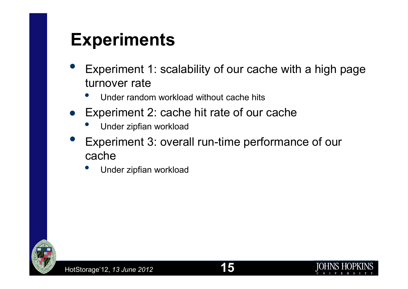#### **Experiments**

- $\bullet$  Experiment 1: scalability of our cache with a high page turnover rate
	- Under random workload without cache hits •
- Experiment 2: cache hit rate of our cache
	- •Under zipfian workload
- $\bullet$  Experiment 3: overall run-time performance of our cache
	- Under zipfian workload •

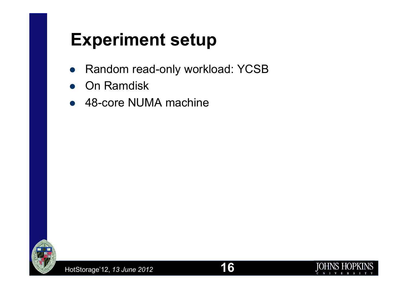#### **Experiment setup**

- D Random read-only workload: YCSB
- $\bullet$ On Ramdisk
- 48-core NUMA machine



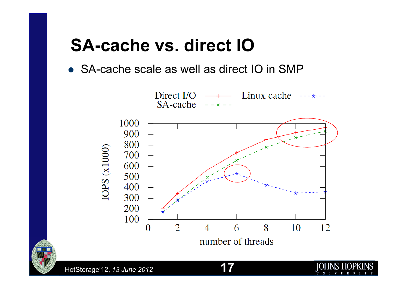#### **SA-cache vs. direct IO**

SA-cache scale as well as direct IO in SMP



**17**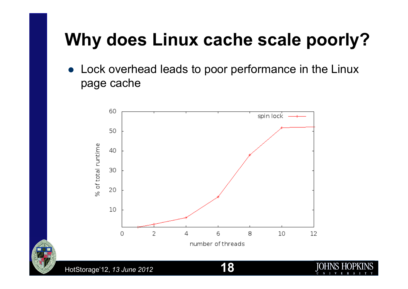# **Why does Linux cache scale poorly?**

 $\bullet$  Lock overhead leads to poor performance in the Linux page cache



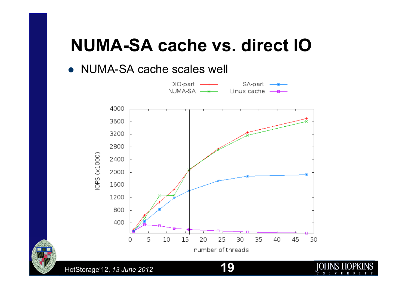#### **NUMA-SA cache vs. direct IO**

#### • NUMA-SA cache scales well



**19**

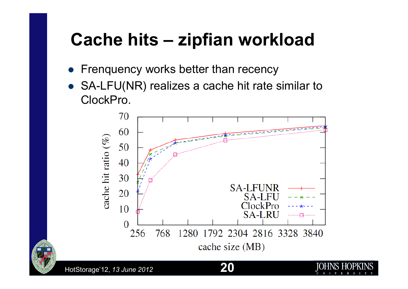### **Cache hits – zipfian workload**

- $\bullet$ Frenquency works better than recency
- SA-LFU(NR) realizes a cache hit rate similar to ClockPro.



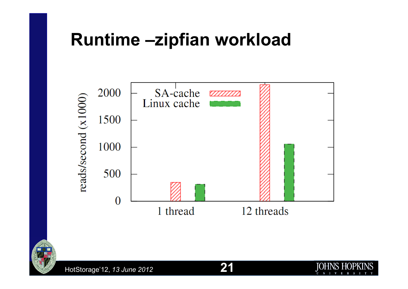#### **Runtime –zipfian workload**